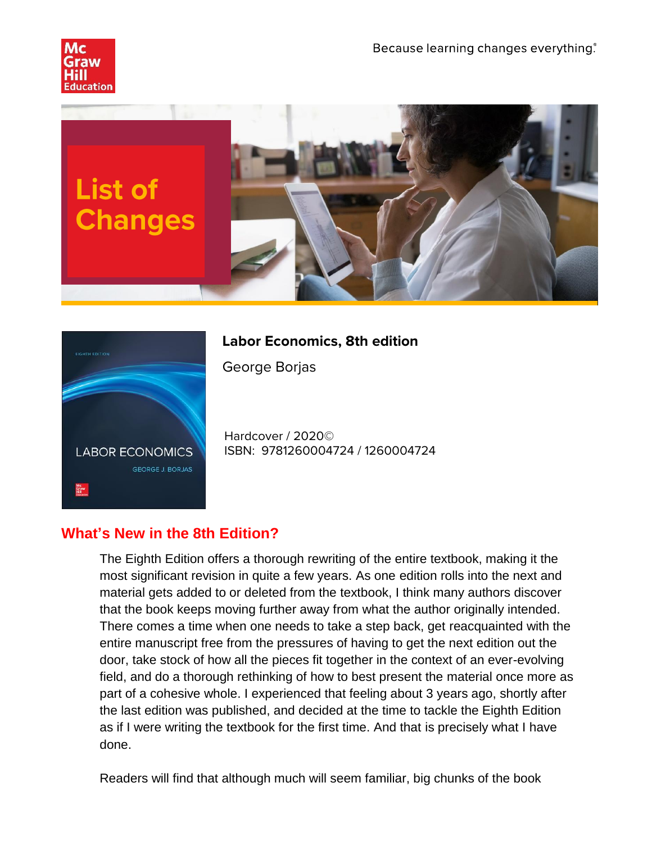



## **Labor Economics, 8th edition**

George Borjas

Hardcover / 2020© ISBN: 9781260004724 / 1260004724

## **What's New in the 8th Edition?**

The Eighth Edition offers a thorough rewriting of the entire textbook, making it the most significant revision in quite a few years. As one edition rolls into the next and material gets added to or deleted from the textbook, I think many authors discover that the book keeps moving further away from what the author originally intended. There comes a time when one needs to take a step back, get reacquainted with the entire manuscript free from the pressures of having to get the next edition out the door, take stock of how all the pieces fit together in the context of an ever-evolving field, and do a thorough rethinking of how to best present the material once more as part of a cohesive whole. I experienced that feeling about 3 years ago, shortly after the last edition was published, and decided at the time to tackle the Eighth Edition as if I were writing the textbook for the first time. And that is precisely what I have done.

Readers will find that although much will seem familiar, big chunks of the book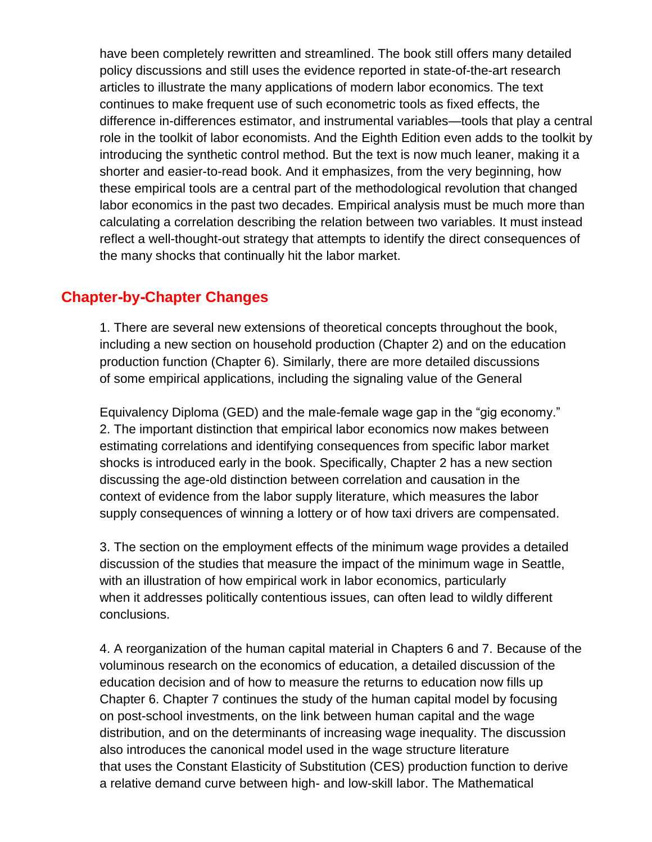have been completely rewritten and streamlined. The book still offers many detailed policy discussions and still uses the evidence reported in state-of-the-art research articles to illustrate the many applications of modern labor economics. The text continues to make frequent use of such econometric tools as fixed effects, the difference in-differences estimator, and instrumental variables—tools that play a central role in the toolkit of labor economists. And the Eighth Edition even adds to the toolkit by introducing the synthetic control method. But the text is now much leaner, making it a shorter and easier-to-read book. And it emphasizes, from the very beginning, how these empirical tools are a central part of the methodological revolution that changed labor economics in the past two decades. Empirical analysis must be much more than calculating a correlation describing the relation between two variables. It must instead reflect a well-thought-out strategy that attempts to identify the direct consequences of the many shocks that continually hit the labor market.

## **Chapter-by-Chapter Changes**

1. There are several new extensions of theoretical concepts throughout the book, including a new section on household production (Chapter 2) and on the education production function (Chapter 6). Similarly, there are more detailed discussions of some empirical applications, including the signaling value of the General

Equivalency Diploma (GED) and the male-female wage gap in the "gig economy." 2. The important distinction that empirical labor economics now makes between estimating correlations and identifying consequences from specific labor market shocks is introduced early in the book. Specifically, Chapter 2 has a new section discussing the age-old distinction between correlation and causation in the context of evidence from the labor supply literature, which measures the labor supply consequences of winning a lottery or of how taxi drivers are compensated.

3. The section on the employment effects of the minimum wage provides a detailed discussion of the studies that measure the impact of the minimum wage in Seattle, with an illustration of how empirical work in labor economics, particularly when it addresses politically contentious issues, can often lead to wildly different conclusions.

4. A reorganization of the human capital material in Chapters 6 and 7. Because of the voluminous research on the economics of education, a detailed discussion of the education decision and of how to measure the returns to education now fills up Chapter 6. Chapter 7 continues the study of the human capital model by focusing on post-school investments, on the link between human capital and the wage distribution, and on the determinants of increasing wage inequality. The discussion also introduces the canonical model used in the wage structure literature that uses the Constant Elasticity of Substitution (CES) production function to derive a relative demand curve between high- and low-skill labor. The Mathematical